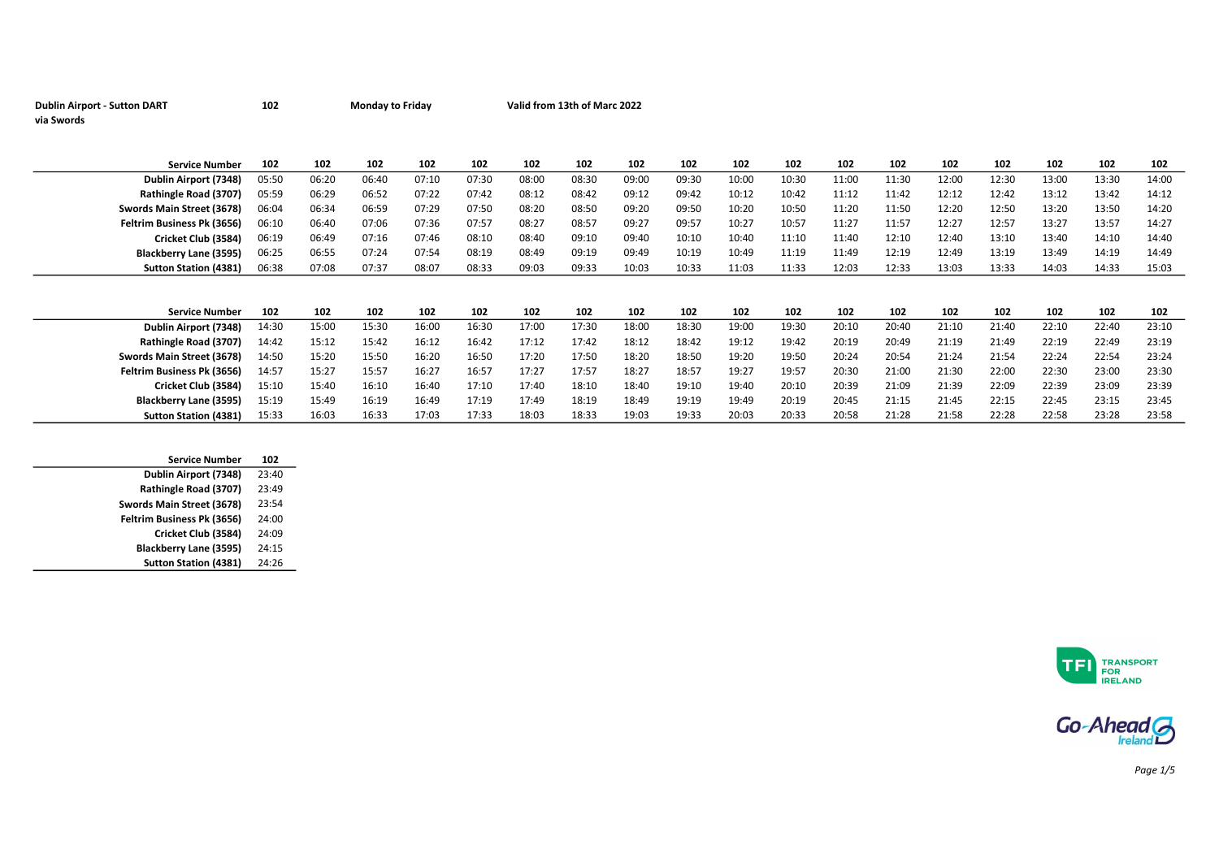| <b>Dublin Airport - Sutton DART</b> | 102 | <b>Monday to Friday</b> | Valid from 13th of Marc 2022 |
|-------------------------------------|-----|-------------------------|------------------------------|
| via Swords                          |     |                         |                              |

| <b>Service Number</b>         | 102   | 102   | 102   | 102   | 102   | 102   | 102   | 102   | 102   | 102   | 102   | 102   | 102   | 102   | 102   | 102   | 102   | 102   |
|-------------------------------|-------|-------|-------|-------|-------|-------|-------|-------|-------|-------|-------|-------|-------|-------|-------|-------|-------|-------|
| Dublin Airport (7348)         | 05:50 | 06:20 | 06:40 | 07:10 | 07:30 | 08:00 | 08:30 | 09:00 | 09:30 | 10:00 | 10:30 | 11:00 | 11:30 | 12:00 | 12:30 | 13:00 | 13:30 | 14:00 |
| Rathingle Road (3707)         | 05:59 | 06:29 | 06:52 | 07:22 | 07:42 | 08:12 | 08:42 | 09:12 | 09:42 | 10:12 | 10:42 | 11:12 | 11:42 | 12:12 | 12:42 | 13:12 | 13:42 | 14:12 |
| Swords Main Street (3678)     | 06:04 | 06:34 | 06:59 | 07:29 | 07:50 | 08:20 | 08:50 | 09:20 | 09:50 | 10:20 | 10:50 | 11:20 | 11:50 | 12:20 | 12:50 | 13:20 | 13:50 | 14:20 |
| Feltrim Business Pk (3656)    | 06:10 | 06:40 | 07:06 | 07:36 | 07:57 | 08:27 | 08:57 | 09:27 | 09:57 | 10:27 | 10:57 | 11:27 | 11:57 | 12:27 | 12:57 | 13:27 | 13:57 | 14:27 |
| Cricket Club (3584)           | 06:19 | 06:49 | 07:16 | 07:46 | 08:10 | 08:40 | 09:10 | 09:40 | 10:10 | 10:40 | 11:10 | 11:40 | 12:10 | 12:40 | 13:10 | 13:40 | 14:10 | 14:40 |
| <b>Blackberry Lane (3595)</b> | 06:25 | 06:55 | 07:24 | 07:54 | 08:19 | 08:49 | 09:19 | 09:49 | 10:19 | 10:49 | 11:19 | 11:49 | 12:19 | 12:49 | 13:19 | 13:49 | 14:19 | 14:49 |
| <b>Sutton Station (4381)</b>  | 06:38 | 07:08 | 07:37 | 08:07 | 08:33 | 09:03 | 09:33 | 10:03 | 10:33 | 11:03 | 11:33 | 12:03 | 12:33 | 13:03 | 13:33 | 14:03 | 14:33 | 15:03 |
|                               |       |       |       |       |       |       |       |       |       |       |       |       |       |       |       |       |       |       |
|                               |       |       |       |       |       |       |       |       |       |       |       |       |       |       |       |       |       |       |
| <b>Service Number</b>         | 102   | 102   | 102   | 102   | 102   | 102   | 102   | 102   | 102   | 102   | 102   | 102   | 102   | 102   | 102   | 102   | 102   | 102   |
| Dublin Airport (7348)         | 14:30 | 15:00 | 15:30 | 16:00 | 16:30 | 17:00 | 17:30 | 18:00 | 18:30 | 19:00 | 19:30 | 20:10 | 20:40 | 21:10 | 21:40 | 22:10 | 22:40 | 23:10 |
| Rathingle Road (3707)         | 14:42 | 15:12 | 15:42 | 16:12 | 16:42 | 17:12 | 17:42 | 18:12 | 18:42 | 19:12 | 19:42 | 20:19 | 20:49 | 21:19 | 21:49 | 22:19 | 22:49 | 23:19 |
| Swords Main Street (3678)     | 14:50 | 15:20 | 15:50 | 16:20 | 16:50 | 17:20 | 17:50 | 18:20 | 18:50 | 19:20 | 19:50 | 20:24 | 20:54 | 21:24 | 21:54 | 22:24 | 22:54 | 23:24 |
| Feltrim Business Pk (3656)    | 14:57 | 15:27 | 15:57 | 16:27 | 16:57 | 17:27 | 17:57 | 18:27 | 18:57 | 19:27 | 19:57 | 20:30 | 21:00 | 21:30 | 22:00 | 22:30 | 23:00 | 23:30 |
| Cricket Club (3584)           | 15:10 | 15:40 | 16:10 | 16:40 | 17:10 | 17:40 | 18:10 | 18:40 | 19:10 | 19:40 | 20:10 | 20:39 | 21:09 | 21:39 | 22:09 | 22:39 | 23:09 | 23:39 |
| <b>Blackberry Lane (3595)</b> | 15:19 | 15:49 | 16:19 | 16:49 | 17:19 | 17:49 | 18:19 | 18:49 | 19:19 | 19:49 | 20:19 | 20:45 | 21:15 | 21:45 | 22:15 | 22:45 | 23:15 | 23:45 |
| <b>Sutton Station (4381)</b>  | 15:33 | 16:03 | 16:33 | 17:03 | 17:33 | 18:03 | 18:33 | 19:03 | 19:33 | 20:03 | 20:33 | 20:58 | 21:28 | 21:58 | 22:28 | 22:58 | 23:28 | 23:58 |

| Dublin Airport (7348)<br>23:40<br>Rathingle Road (3707)<br>23:49<br>Swords Main Street (3678)<br>23:54<br>Feltrim Business Pk (3656)<br>24:00<br>Cricket Club (3584)<br>24:09<br>Blackberry Lane (3595)<br>24:15<br><b>Sutton Station (4381)</b><br>24:26 | <b>Service Number</b> | 102 |
|-----------------------------------------------------------------------------------------------------------------------------------------------------------------------------------------------------------------------------------------------------------|-----------------------|-----|
|                                                                                                                                                                                                                                                           |                       |     |
|                                                                                                                                                                                                                                                           |                       |     |
|                                                                                                                                                                                                                                                           |                       |     |
|                                                                                                                                                                                                                                                           |                       |     |
|                                                                                                                                                                                                                                                           |                       |     |
|                                                                                                                                                                                                                                                           |                       |     |
|                                                                                                                                                                                                                                                           |                       |     |





Page 1/5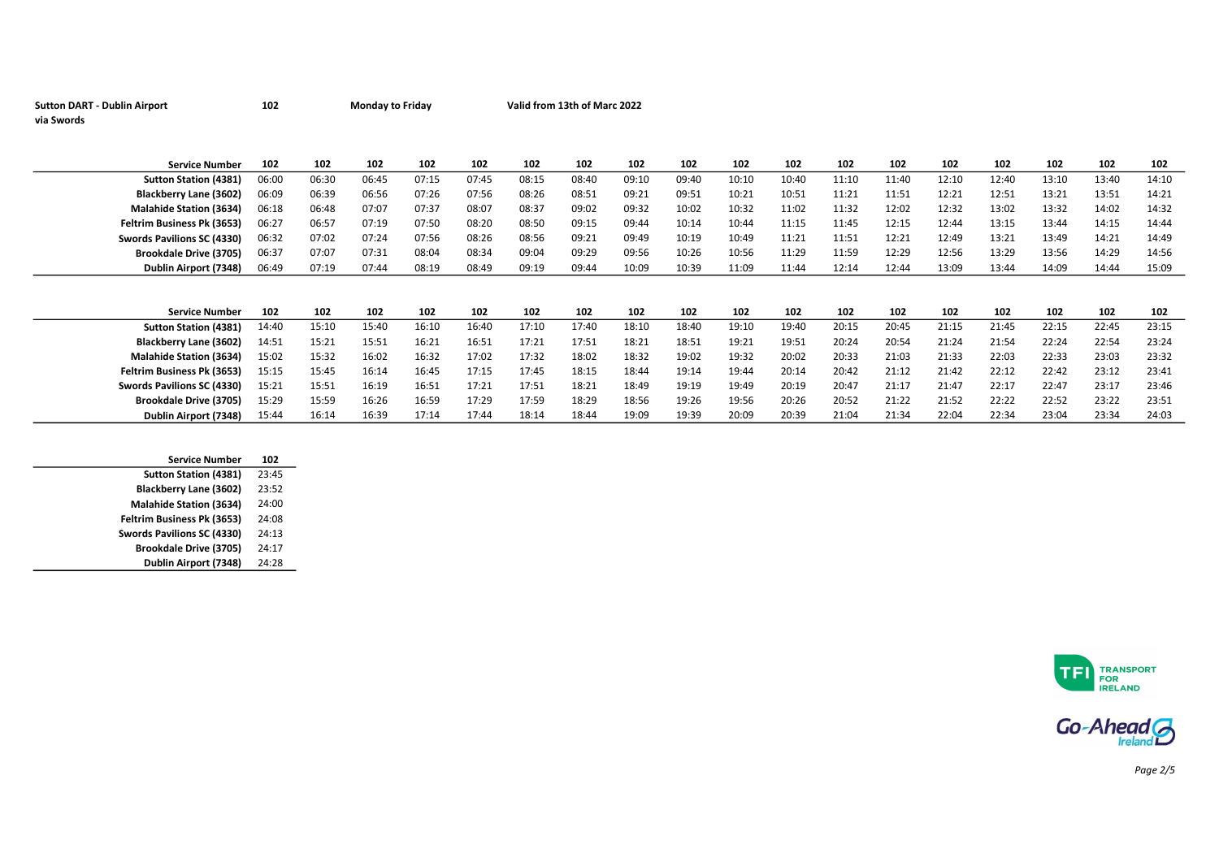| <b>Sutton DART - Dublin Airport</b><br>via Swords | 102   |       | <b>Monday to Friday</b> |       |       |       | Valid from 13th of Marc 2022 |       |       |       |       |       |       |       |       |       |       |       |
|---------------------------------------------------|-------|-------|-------------------------|-------|-------|-------|------------------------------|-------|-------|-------|-------|-------|-------|-------|-------|-------|-------|-------|
| <b>Service Number</b>                             | 102   | 102   | 102                     | 102   | 102   | 102   | 102                          | 102   | 102   | 102   | 102   | 102   | 102   | 102   | 102   | 102   | 102   | 102   |
| <b>Sutton Station (4381)</b>                      | 06:00 | 06:30 | 06:45                   | 07:15 | 07:45 | 08:15 | 08:40                        | 09:10 | 09:40 | 10:10 | 10:40 | 11:10 | 11:40 | 12:10 | 12:40 | 13:10 | 13:40 | 14:10 |
| Blackberry Lane (3602)                            | 06:09 | 06:39 | 06:56                   | 07:26 | 07:56 | 08:26 | 08:51                        | 09:21 | 09:51 | 10:21 | 10:51 | 11:21 | 11:51 | 12:21 | 12:51 | 13:21 | 13:51 | 14:21 |
| <b>Malahide Station (3634)</b>                    | 06:18 | 06:48 | 07:07                   | 07:37 | 08:07 | 08:37 | 09:02                        | 09:32 | 10:02 | 10:32 | 11:02 | 11:32 | 12:02 | 12:32 | 13:02 | 13:32 | 14:02 | 14:32 |
| Feltrim Business Pk (3653)                        | 06:27 | 06:57 | 07:19                   | 07:50 | 08:20 | 08:50 | 09:15                        | 09:44 | 10:14 | 10:44 | 11:15 | 11:45 | 12:15 | 12:44 | 13:15 | 13:44 | 14:15 | 14:44 |
| Swords Pavilions SC (4330)                        | 06:32 | 07:02 | 07:24                   | 07:56 | 08:26 | 08:56 | 09:21                        | 09:49 | 10:19 | 10:49 | 11:21 | 11:51 | 12:21 | 12:49 | 13:21 | 13:49 | 14:21 | 14:49 |
| <b>Brookdale Drive (3705)</b>                     | 06:37 | 07:07 | 07:31                   | 08:04 | 08:34 | 09:04 | 09:29                        | 09:56 | 10:26 | 10:56 | 11:29 | 11:59 | 12:29 | 12:56 | 13:29 | 13:56 | 14:29 | 14:56 |
| Dublin Airport (7348)                             | 06:49 | 07:19 | 07:44                   | 08:19 | 08:49 | 09:19 | 09:44                        | 10:09 | 10:39 | 11:09 | 11:44 | 12:14 | 12:44 | 13:09 | 13:44 | 14:09 | 14:44 | 15:09 |
|                                                   |       |       |                         |       |       |       |                              |       |       |       |       |       |       |       |       |       |       |       |
| <b>Service Number</b>                             | 102   | 102   | 102                     | 102   | 102   | 102   | 102                          | 102   | 102   | 102   | 102   | 102   | 102   | 102   | 102   | 102   | 102   | 102   |
| <b>Sutton Station (4381)</b>                      | 14:40 | 15:10 | 15:40                   | 16:10 | 16:40 | 17:10 | 17:40                        | 18:10 | 18:40 | 19:10 | 19:40 | 20:15 | 20:45 | 21:15 | 21:45 | 22:15 | 22:45 | 23:15 |
| Blackberry Lane (3602)                            | 14:51 | 15:21 | 15:51                   | 16:21 | 16:51 | 17:21 | 17:51                        | 18:21 | 18:51 | 19:21 | 19:51 | 20:24 | 20:54 | 21:24 | 21:54 | 22:24 | 22:54 | 23:24 |
| <b>Malahide Station (3634)</b>                    | 15:02 | 15:32 | 16:02                   | 16:32 | 17:02 | 17:32 | 18:02                        | 18:32 | 19:02 | 19:32 | 20:02 | 20:33 | 21:03 | 21:33 | 22:03 | 22:33 | 23:03 | 23:32 |
| Feltrim Business Pk (3653)                        | 15:15 | 15:45 | 16:14                   | 16:45 | 17:15 | 17:45 | 18:15                        | 18:44 | 19:14 | 19:44 | 20:14 | 20:42 | 21:12 | 21:42 | 22:12 | 22:42 | 23:12 | 23:41 |
| Swords Pavilions SC (4330)                        | 15:21 | 15:51 | 16:19                   | 16:51 | 17:21 | 17:51 | 18:21                        | 18:49 | 19:19 | 19:49 | 20:19 | 20:47 | 21:17 | 21:47 | 22:17 | 22:47 | 23:17 | 23:46 |
| <b>Brookdale Drive (3705)</b>                     | 15:29 | 15:59 | 16:26                   | 16:59 | 17:29 | 17:59 | 18:29                        | 18:56 | 19:26 | 19:56 | 20:26 | 20:52 | 21:22 | 21:52 | 22:22 | 22:52 | 23:22 | 23:51 |
| Dublin Airport (7348)                             | 15:44 | 16:14 | 16:39                   | 17:14 | 17:44 | 18:14 | 18:44                        | 19:09 | 19:39 | 20:09 | 20:39 | 21:04 | 21:34 | 22:04 | 22:34 | 23:04 | 23:34 | 24:03 |
|                                                   |       |       |                         |       |       |       |                              |       |       |       |       |       |       |       |       |       |       |       |

| <b>Service Number</b>          | 102   |
|--------------------------------|-------|
| <b>Sutton Station (4381)</b>   | 23:45 |
| <b>Blackberry Lane (3602)</b>  | 23:52 |
| <b>Malahide Station (3634)</b> | 24:00 |
| Feltrim Business Pk (3653)     | 24:08 |
| Swords Pavilions SC (4330)     | 24:13 |
| <b>Brookdale Drive (3705)</b>  | 24:17 |
| Dublin Airport (7348)          | 24:28 |
|                                |       |





Page 2/5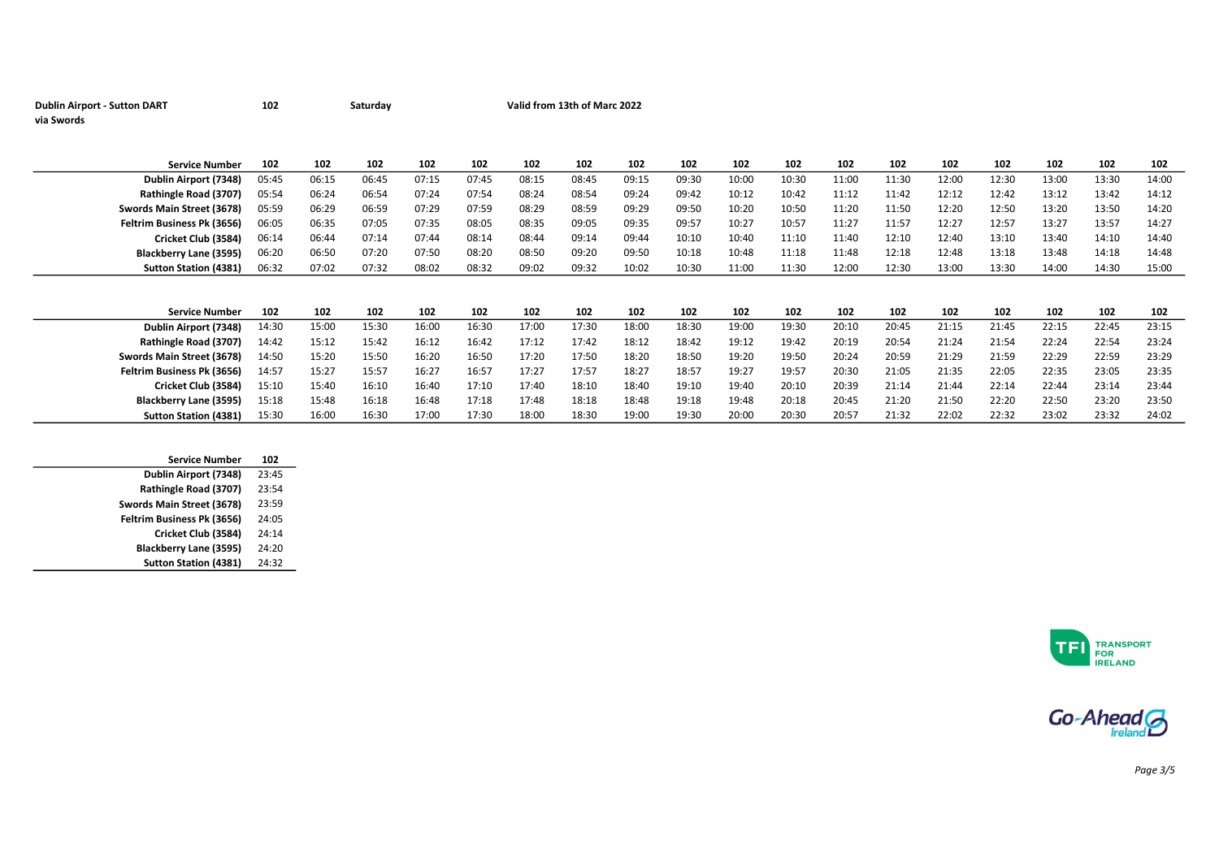| <b>Dublin Airport - Sutton DART</b> | 102 | Saturday | Valid from 13th of Marc 2022 |
|-------------------------------------|-----|----------|------------------------------|
| via Swords                          |     |          |                              |

| <b>Service Number</b>             | 102   | 102   | 102   | 102   | 102   | 102   | 102   | 102   | 102   | 102   | 102   | 102   | 102   | 102   | 102   | 102   | 102   | 102   |
|-----------------------------------|-------|-------|-------|-------|-------|-------|-------|-------|-------|-------|-------|-------|-------|-------|-------|-------|-------|-------|
| Dublin Airport (7348)             | 05:45 | 06:15 | 06:45 | 07:15 | 07:45 | 08:15 | 08:45 | 09:15 | 09:30 | 10:00 | 10:30 | 11:00 | 11:30 | 12:00 | 12:30 | 13:00 | 13:30 | 14:00 |
| Rathingle Road (3707)             | 05:54 | 06:24 | 06:54 | 07:24 | 07:54 | 08:24 | 08:54 | 09:24 | 09:42 | 10:12 | 10:42 | 11:12 | 11:42 | 12:12 | 12:42 | 13:12 | 13:42 | 14:12 |
| Swords Main Street (3678)         | 05:59 | 06:29 | 06:59 | 07:29 | 07:59 | 08:29 | 08:59 | 09:29 | 09:50 | 10:20 | 10:50 | 11:20 | 11:50 | 12:20 | 12:50 | 13:20 | 13:50 | 14:20 |
| <b>Feltrim Business Pk (3656)</b> | 06:05 | 06:35 | 07:05 | 07:35 | 08:05 | 08:35 | 09:05 | 09:35 | 09:57 | 10:27 | 10:57 | 11:27 | 11:57 | 12:27 | 12:57 | 13:27 | 13:57 | 14:27 |
| Cricket Club (3584)               | 06:14 | 06:44 | 07:14 | 07:44 | 08:14 | 08:44 | 09:14 | 09:44 | 10:10 | 10:40 | 11:10 | 11:40 | 12:10 | 12:40 | 13:10 | 13:40 | 14:10 | 14:40 |
| Blackberry Lane (3595)            | 06:20 | 06:50 | 07:20 | 07:50 | 08:20 | 08:50 | 09:20 | 09:50 | 10:18 | 10:48 | 11:18 | 11:48 | 12:18 | 12:48 | 13:18 | 13:48 | 14:18 | 14:48 |
| <b>Sutton Station (4381)</b>      | 06:32 | 07:02 | 07:32 | 08:02 | 08:32 | 09:02 | 09:32 | 10:02 | 10:30 | 11:00 | 11:30 | 12:00 | 12:30 | 13:00 | 13:30 | 14:00 | 14:30 | 15:00 |
|                                   |       |       |       |       |       |       |       |       |       |       |       |       |       |       |       |       |       |       |
|                                   |       |       |       |       |       |       |       |       |       |       |       |       |       |       |       |       |       |       |
| <b>Service Number</b>             | 102   | 102   | 102   | 102   | 102   | 102   | 102   | 102   | 102   | 102   | 102   | 102   | 102   | 102   | 102   | 102   | 102   | 102   |
| Dublin Airport (7348)             | 14:30 | 15:00 | 15:30 | 16:00 | 16:30 | 17:00 | 17:30 | 18:00 | 18:30 | 19:00 | 19:30 | 20:10 | 20:45 | 21:15 | 21:45 | 22:15 | 22:45 | 23:15 |
| Rathingle Road (3707)             | 14:42 | 15:12 | 15:42 | 16:12 | 16:42 | 17:12 | 17:42 | 18:12 | 18:42 | 19:12 | 19:42 | 20:19 | 20:54 | 21:24 | 21:54 | 22:24 | 22:54 | 23:24 |
| Swords Main Street (3678)         | 14:50 | 15:20 | 15:50 | 16:20 | 16:50 | 17:20 | 17:50 | 18:20 | 18:50 | 19:20 | 19:50 | 20:24 | 20:59 | 21:29 | 21:59 | 22:29 | 22:59 | 23:29 |
| Feltrim Business Pk (3656)        | 14:57 | 15:27 | 15:57 | 16:27 | 16:57 | 17:27 | 17:57 | 18:27 | 18:57 | 19:27 | 19:57 | 20:30 | 21:05 | 21:35 | 22:05 | 22:35 | 23:05 | 23:35 |
| Cricket Club (3584)               | 15:10 | 15:40 | 16:10 | 16:40 | 17:10 | 17:40 | 18:10 | 18:40 | 19:10 | 19:40 | 20:10 | 20:39 | 21:14 | 21:44 | 22:14 | 22:44 | 23:14 | 23:44 |
| <b>Blackberry Lane (3595)</b>     | 15:18 | 15:48 | 16:18 | 16:48 | 17:18 | 17:48 | 18:18 | 18:48 | 19:18 | 19:48 | 20:18 | 20:45 | 21:20 | 21:50 | 22:20 | 22:50 | 23:20 | 23:50 |
|                                   |       |       |       |       |       |       |       |       |       |       |       |       |       |       |       |       |       |       |

| <b>Service Number</b>        | 102   |
|------------------------------|-------|
| Dublin Airport (7348)        | 23:45 |
| Rathingle Road (3707)        | 23:54 |
| Swords Main Street (3678)    | 23:59 |
| Feltrim Business Pk (3656)   | 24:05 |
| Cricket Club (3584)          | 24:14 |
| Blackberry Lane (3595)       | 24:20 |
| <b>Sutton Station (4381)</b> | 24:32 |
|                              |       |





Page 3/5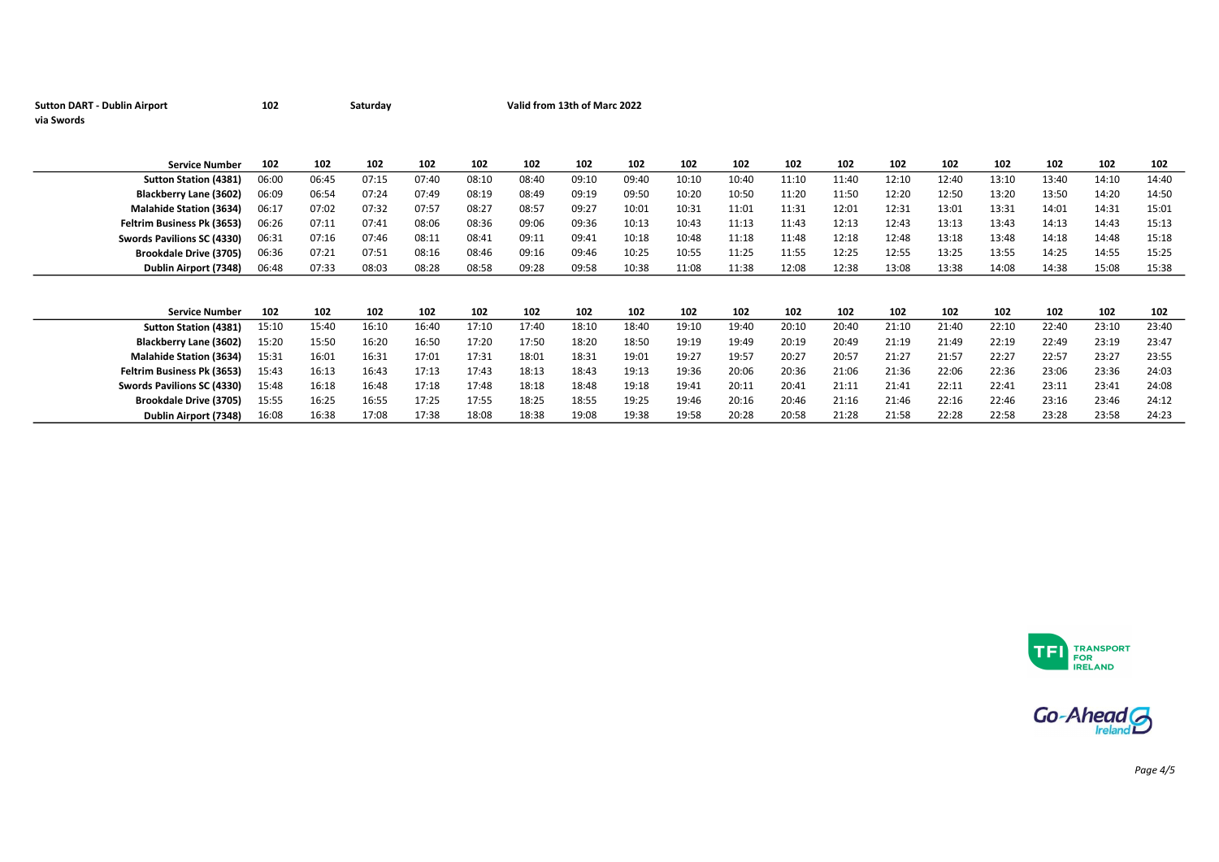| <b>Sutton DART - Dublin Airport</b> | 102   |       | Saturday |       |       |       | Valid from 13th of Marc 2022 |       |       |       |       |       |       |       |       |       |       |       |
|-------------------------------------|-------|-------|----------|-------|-------|-------|------------------------------|-------|-------|-------|-------|-------|-------|-------|-------|-------|-------|-------|
| via Swords                          |       |       |          |       |       |       |                              |       |       |       |       |       |       |       |       |       |       |       |
|                                     |       |       |          |       |       |       |                              |       |       |       |       |       |       |       |       |       |       |       |
|                                     |       |       |          |       |       |       |                              |       |       |       |       |       |       |       |       |       |       |       |
| <b>Service Number</b>               | 102   | 102   | 102      | 102   | 102   | 102   | 102                          | 102   | 102   | 102   | 102   | 102   | 102   | 102   | 102   | 102   | 102   | 102   |
| <b>Sutton Station (4381)</b>        | 06:00 | 06:45 | 07:15    | 07:40 | 08:10 | 08:40 | 09:10                        | 09:40 | 10:10 | 10:40 | 11:10 | 11:40 | 12:10 | 12:40 | 13:10 | 13:40 | 14:10 | 14:40 |
| Blackberry Lane (3602)              | 06:09 | 06:54 | 07:24    | 07:49 | 08:19 | 08:49 | 09:19                        | 09:50 | 10:20 | 10:50 | 11:20 | 11:50 | 12:20 | 12:50 | 13:20 | 13:50 | 14:20 | 14:50 |
| <b>Malahide Station (3634)</b>      | 06:17 | 07:02 | 07:32    | 07:57 | 08:27 | 08:57 | 09:27                        | 10:01 | 10:31 | 11:01 | 11:31 | 12:01 | 12:31 | 13:01 | 13:31 | 14:01 | 14:31 | 15:01 |
| Feltrim Business Pk (3653)          | 06:26 | 07:11 | 07:41    | 08:06 | 08:36 | 09:06 | 09:36                        | 10:13 | 10:43 | 11:13 | 11:43 | 12:13 | 12:43 | 13:13 | 13:43 | 14:13 | 14:43 | 15:13 |
| Swords Pavilions SC (4330)          | 06:31 | 07:16 | 07:46    | 08:11 | 08:41 | 09:11 | 09:41                        | 10:18 | 10:48 | 11:18 | 11:48 | 12:18 | 12:48 | 13:18 | 13:48 | 14:18 | 14:48 | 15:18 |
| <b>Brookdale Drive (3705)</b>       | 06:36 | 07:21 | 07:51    | 08:16 | 08:46 | 09:16 | 09:46                        | 10:25 | 10:55 | 11:25 | 11:55 | 12:25 | 12:55 | 13:25 | 13:55 | 14:25 | 14:55 | 15:25 |
| Dublin Airport (7348)               | 06:48 | 07:33 | 08:03    | 08:28 | 08:58 | 09:28 | 09:58                        | 10:38 | 11:08 | 11:38 | 12:08 | 12:38 | 13:08 | 13:38 | 14:08 | 14:38 | 15:08 | 15:38 |
|                                     |       |       |          |       |       |       |                              |       |       |       |       |       |       |       |       |       |       |       |
|                                     |       |       |          |       |       |       |                              |       |       |       |       |       |       |       |       |       |       |       |
| <b>Service Number</b>               | 102   | 102   | 102      | 102   | 102   | 102   | 102                          | 102   | 102   | 102   | 102   | 102   | 102   | 102   | 102   | 102   | 102   | 102   |
| <b>Sutton Station (4381)</b>        | 15:10 | 15:40 | 16:10    | 16:40 | 17:10 | 17:40 | 18:10                        | 18:40 | 19:10 | 19:40 | 20:10 | 20:40 | 21:10 | 21:40 | 22:10 | 22:40 | 23:10 | 23:40 |
| Blackberry Lane (3602)              | 15:20 | 15:50 | 16:20    | 16:50 | 17:20 | 17:50 | 18:20                        | 18:50 | 19:19 | 19:49 | 20:19 | 20:49 | 21:19 | 21:49 | 22:19 | 22:49 | 23:19 | 23:47 |
| <b>Malahide Station (3634)</b>      | 15:31 | 16:01 | 16:31    | 17:01 | 17:31 | 18:01 | 18:31                        | 19:01 | 19:27 | 19:57 | 20:27 | 20:57 | 21:27 | 21:57 | 22:27 | 22:57 | 23:27 | 23:55 |
| Feltrim Business Pk (3653)          | 15:43 | 16:13 | 16:43    | 17:13 | 17:43 | 18:13 | 18:43                        | 19:13 | 19:36 | 20:06 | 20:36 | 21:06 | 21:36 | 22:06 | 22:36 | 23:06 | 23:36 | 24:03 |
| Swords Pavilions SC (4330)          | 15:48 | 16:18 | 16:48    | 17:18 | 17:48 | 18:18 | 18:48                        | 19:18 | 19:41 | 20:11 | 20:41 | 21:11 | 21:41 | 22:11 | 22:41 | 23:11 | 23:41 | 24:08 |
| <b>Brookdale Drive (3705)</b>       | 15:55 | 16:25 | 16:55    | 17:25 | 17:55 | 18:25 | 18:55                        | 19:25 | 19:46 | 20:16 | 20:46 | 21:16 | 21:46 | 22:16 | 22:46 | 23:16 | 23:46 | 24:12 |
| Dublin Airport (7348)               | 16:08 | 16:38 | 17:08    | 17:38 | 18:08 | 18:38 | 19:08                        | 19:38 | 19:58 | 20:28 | 20:58 | 21:28 | 21:58 | 22:28 | 22:58 | 23:28 | 23:58 | 24:23 |





Page 4/5